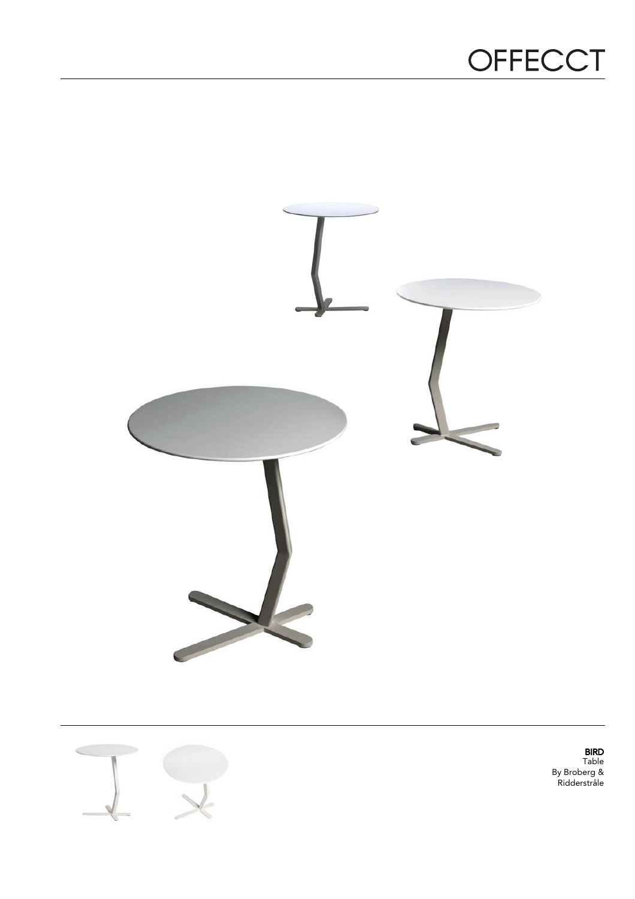## OFFECCT





BIRD Table By Broberg & Ridderstråle